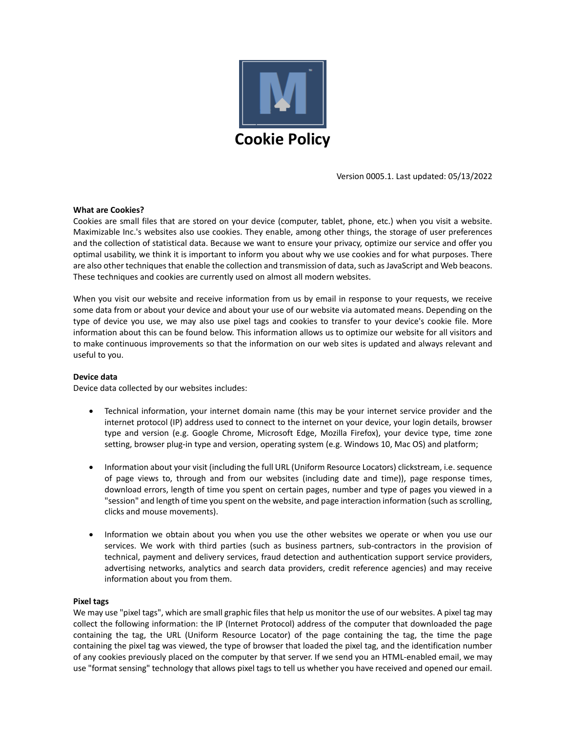

Version 0005.1. Last updated: 05/13/2022

#### **What are Cookies?**

Cookies are small files that are stored on your device (computer, tablet, phone, etc.) when you visit a website. Maximizable Inc.'s websites also use cookies. They enable, among other things, the storage of user preferences and the collection of statistical data. Because we want to ensure your privacy, optimize our service and offer you optimal usability, we think it is important to inform you about why we use cookies and for what purposes. There are also other techniques that enable the collection and transmission of data, such as JavaScript and Web beacons. These techniques and cookies are currently used on almost all modern websites.

When you visit our website and receive information from us by email in response to your requests, we receive some data from or about your device and about your use of our website via automated means. Depending on the type of device you use, we may also use pixel tags and cookies to transfer to your device's cookie file. More information about this can be found below. This information allows us to optimize our website for all visitors and to make continuous improvements so that the information on our web sites is updated and always relevant and useful to you.

# **Device data**

Device data collected by our websites includes:

- Technical information, your internet domain name (this may be your internet service provider and the internet protocol (IP) address used to connect to the internet on your device, your login details, browser type and version (e.g. Google Chrome, Microsoft Edge, Mozilla Firefox), your device type, time zone setting, browser plug-in type and version, operating system (e.g. Windows 10, Mac OS) and platform;
- Information about your visit (including the full URL (Uniform Resource Locators) clickstream, i.e. sequence of page views to, through and from our websites (including date and time)), page response times, download errors, length of time you spent on certain pages, number and type of pages you viewed in a "session" and length of time you spent on the website, and page interaction information (such as scrolling, clicks and mouse movements).
- Information we obtain about you when you use the other websites we operate or when you use our services. We work with third parties (such as business partners, sub-contractors in the provision of technical, payment and delivery services, fraud detection and authentication support service providers, advertising networks, analytics and search data providers, credit reference agencies) and may receive information about you from them.

#### **Pixel tags**

We may use "pixel tags", which are small graphic files that help us monitor the use of our websites. A pixel tag may collect the following information: the IP (Internet Protocol) address of the computer that downloaded the page containing the tag, the URL (Uniform Resource Locator) of the page containing the tag, the time the page containing the pixel tag was viewed, the type of browser that loaded the pixel tag, and the identification number of any cookies previously placed on the computer by that server. If we send you an HTML‐enabled email, we may use "format sensing" technology that allows pixel tags to tell us whether you have received and opened our email.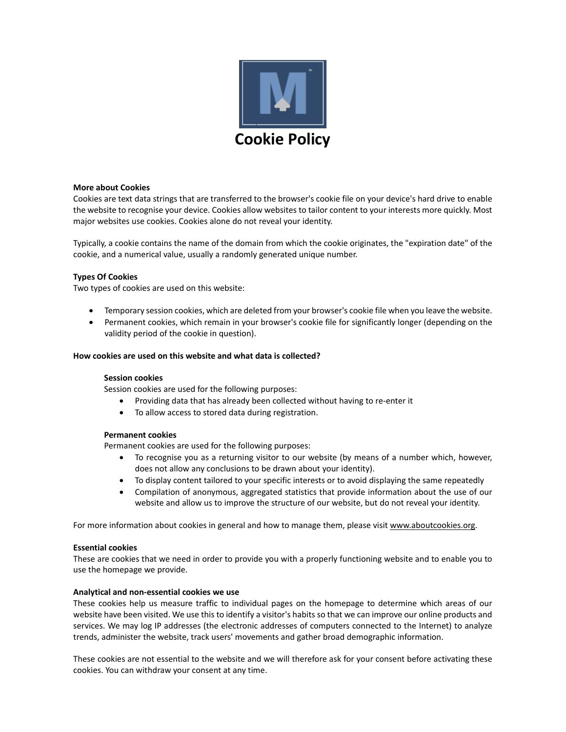

#### **More about Cookies**

Cookies are text data strings that are transferred to the browser's cookie file on your device's hard drive to enable the website to recognise your device. Cookies allow websites to tailor content to your interests more quickly. Most major websites use cookies. Cookies alone do not reveal your identity.

Typically, a cookie contains the name of the domain from which the cookie originates, the "expiration date" of the cookie, and a numerical value, usually a randomly generated unique number.

## **Types Of Cookies**

Two types of cookies are used on this website:

- Temporary session cookies, which are deleted from your browser's cookie file when you leave the website.
- Permanent cookies, which remain in your browser's cookie file for significantly longer (depending on the validity period of the cookie in question).

#### **How cookies are used on this website and what data is collected?**

#### **Session cookies**

Session cookies are used for the following purposes:

- Providing data that has already been collected without having to re‐enter it
- To allow access to stored data during registration.

#### **Permanent cookies**

Permanent cookies are used for the following purposes:

- To recognise you as a returning visitor to our website (by means of a number which, however, does not allow any conclusions to be drawn about your identity).
- To display content tailored to your specific interests or to avoid displaying the same repeatedly
- Compilation of anonymous, aggregated statistics that provide information about the use of our website and allow us to improve the structure of our website, but do not reveal your identity.

For more information about cookies in general and how to manage them, please visit www.aboutcookies.org.

#### **Essential cookies**

These are cookies that we need in order to provide you with a properly functioning website and to enable you to use the homepage we provide.

#### **Analytical and non‐essential cookies we use**

These cookies help us measure traffic to individual pages on the homepage to determine which areas of our website have been visited. We use this to identify a visitor's habits so that we can improve our online products and services. We may log IP addresses (the electronic addresses of computers connected to the Internet) to analyze trends, administer the website, track users' movements and gather broad demographic information.

These cookies are not essential to the website and we will therefore ask for your consent before activating these cookies. You can withdraw your consent at any time.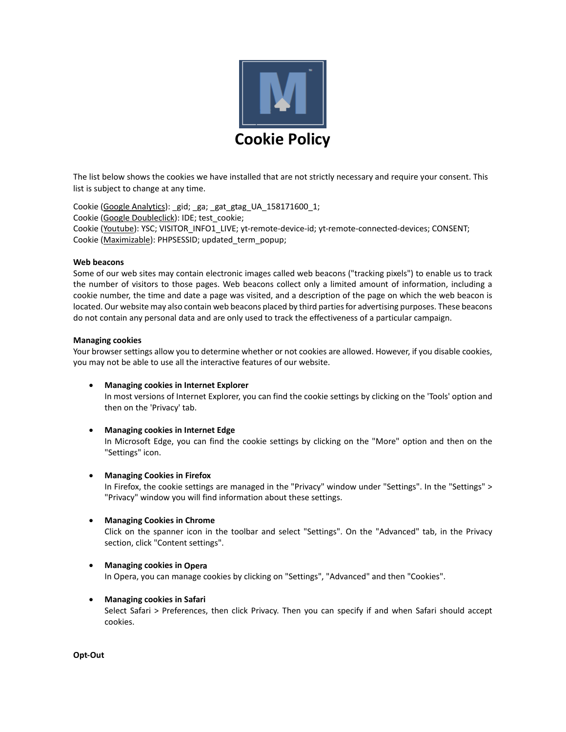

The list below shows the cookies we have installed that are not strictly necessary and require your consent. This list is subject to change at any time.

Cookie (Google Analytics): \_gid; \_ga; \_gat\_gtag\_UA\_158171600\_1; Cookie (Google Doubleclick): IDE; test\_cookie; Cookie (Youtube): YSC; VISITOR\_INFO1\_LIVE; yt‐remote‐device‐id; yt‐remote‐connected‐devices; CONSENT; Cookie (Maximizable): PHPSESSID; updated\_term\_popup;

#### **Web beacons**

Some of our web sites may contain electronic images called web beacons ("tracking pixels") to enable us to track the number of visitors to those pages. Web beacons collect only a limited amount of information, including a cookie number, the time and date a page was visited, and a description of the page on which the web beacon is located. Our website may also contain web beacons placed by third partiesfor advertising purposes. These beacons do not contain any personal data and are only used to track the effectiveness of a particular campaign.

## **Managing cookies**

Your browser settings allow you to determine whether or not cookies are allowed. However, if you disable cookies, you may not be able to use all the interactive features of our website.

- **Managing cookies in Internet Explorer** In most versions of Internet Explorer, you can find the cookie settings by clicking on the 'Tools' option and then on the 'Privacy' tab.
- **Managing cookies in Internet Edge**

In Microsoft Edge, you can find the cookie settings by clicking on the "More" option and then on the "Settings" icon.

**Managing Cookies in Firefox**

In Firefox, the cookie settings are managed in the "Privacy" window under "Settings". In the "Settings" > "Privacy" window you will find information about these settings.

**Managing Cookies in Chrome**

Click on the spanner icon in the toolbar and select "Settings". On the "Advanced" tab, in the Privacy section, click "Content settings".

# **Managing cookies in Opera**

In Opera, you can manage cookies by clicking on "Settings", "Advanced" and then "Cookies".

**Managing cookies in Safari**

Select Safari > Preferences, then click Privacy. Then you can specify if and when Safari should accept cookies.